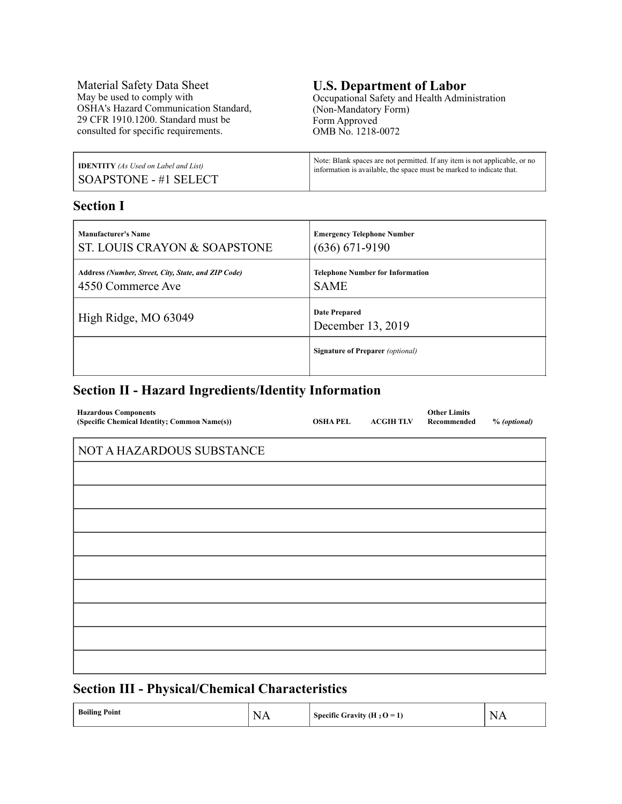Material Safety Data Sheet May be used to comply with OSHA's Hazard Communication Standard, 29 CFR 1910.1200. Standard must be consulted for specific requirements.

# **U.S. Department of Labor**

Occupational Safety and Health Administration (Non-Mandatory Form) Form Approved OMB No. 1218-0072

| <b>IDENTITY</b> (As Used on Label and List) | Note: Blank spaces are not permitted. If any item is not applicable, or no |
|---------------------------------------------|----------------------------------------------------------------------------|
| SOAPSTONE - #1 SELECT                       | information is available, the space must be marked to indicate that.       |

### **Section I**

| <b>Manufacturer's Name</b>                          | <b>Emergency Telephone Number</b>         |
|-----------------------------------------------------|-------------------------------------------|
| ST. LOUIS CRAYON & SOAPSTONE                        | $(636) 671-9190$                          |
| Address (Number, Street, City, State, and ZIP Code) | <b>Telephone Number for Information</b>   |
| 4550 Commerce Ave                                   | <b>SAME</b>                               |
| High Ridge, MO 63049                                | <b>Date Prepared</b><br>December 13, 2019 |
|                                                     | <b>Signature of Preparer</b> (optional)   |

### **Section II - Hazard Ingredients/Identity Information**

| <b>Hazardous Components</b><br>(Specific Chemical Identity; Common Name(s)) | <b>OSHAPEL</b> | <b>ACGIH TLV</b> | <b>Other Limits</b><br>Recommended | % (optional) |
|-----------------------------------------------------------------------------|----------------|------------------|------------------------------------|--------------|
| NOT A HAZARDOUS SUBSTANCE                                                   |                |                  |                                    |              |
|                                                                             |                |                  |                                    |              |
|                                                                             |                |                  |                                    |              |
|                                                                             |                |                  |                                    |              |
|                                                                             |                |                  |                                    |              |
|                                                                             |                |                  |                                    |              |
|                                                                             |                |                  |                                    |              |
|                                                                             |                |                  |                                    |              |
|                                                                             |                |                  |                                    |              |
|                                                                             |                |                  |                                    |              |
|                                                                             |                |                  |                                    |              |

### **Section III - Physical/Chemical Characteristics**

| <b>Boiling Point</b> | $\mathbf{v}$<br>-Ni<br>.<br>the contract of the contract of the | Specific Gravity (H <sub>2</sub> O = <sup>1</sup> ) | $\sim$<br>N<br>$\overline{\phantom{a}}$<br>.<br>the contract of the contract of the contract of |
|----------------------|-----------------------------------------------------------------|-----------------------------------------------------|-------------------------------------------------------------------------------------------------|
|----------------------|-----------------------------------------------------------------|-----------------------------------------------------|-------------------------------------------------------------------------------------------------|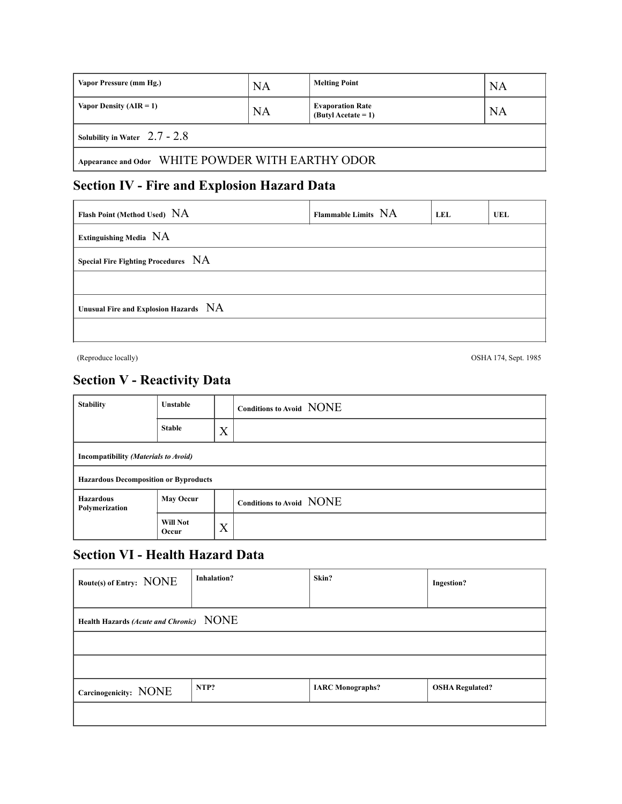| Vapor Pressure (mm Hg.)                           | <b>NA</b> | <b>Melting Point</b>                             | <b>NA</b> |  |
|---------------------------------------------------|-----------|--------------------------------------------------|-----------|--|
| Vapor Density $(AIR = 1)$                         | NA        | <b>Evaporation Rate</b><br>$(Butv)$ Acetate = 1) | NA        |  |
| Solubility in Water $2.7 - 2.8$                   |           |                                                  |           |  |
| Appearance and Odor WHITE POWDER WITH EARTHY ODOR |           |                                                  |           |  |

## **Section IV - Fire and Explosion Hazard Data**

| Flash Point (Method Used) NA          | Flammable Limits NA | LEL | UEL |
|---------------------------------------|---------------------|-----|-----|
| <b>Extinguishing Media NA</b>         |                     |     |     |
| Special Fire Fighting Procedures NA   |                     |     |     |
|                                       |                     |     |     |
| Unusual Fire and Explosion Hazards NA |                     |     |     |
|                                       |                     |     |     |

(Reproduce locally) OSHA 174, Sept. 1985

### **Section V - Reactivity Data**

| <b>Stability</b>                             | <b>Unstable</b>          |   | Conditions to Avoid NONE |
|----------------------------------------------|--------------------------|---|--------------------------|
|                                              | <b>Stable</b>            | X |                          |
| Incompatibility (Materials to Avoid)         |                          |   |                          |
| <b>Hazardous Decomposition or Byproducts</b> |                          |   |                          |
| <b>Hazardous</b><br>Polymerization           | <b>May Occur</b>         |   | Conditions to Avoid NONE |
|                                              | <b>Will Not</b><br>Occur | X |                          |

### **Section VI - Health Hazard Data**

| Route(s) of Entry: NONE                 | <b>Inhalation?</b> | Skin?                   | <b>Ingestion?</b>      |
|-----------------------------------------|--------------------|-------------------------|------------------------|
| Health Hazards (Acute and Chronic) NONE |                    |                         |                        |
|                                         |                    |                         |                        |
|                                         |                    |                         |                        |
| Carcinogenicity: NONE                   | NTP?               | <b>IARC</b> Monographs? | <b>OSHA Regulated?</b> |
|                                         |                    |                         |                        |